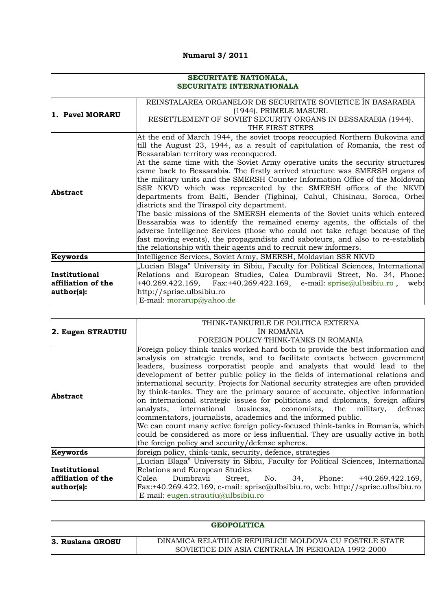## **Numarul 3/ 2011**

|                                                   | SECURITATE NATIONALA,<br><b>SECURITATE INTERNATIONALA</b>                                                                                                                                                                                                                                                                                                                                                                                                                                                                                                                                                                                                                                                                                                                                                                                                                                                                                                                                                                                                  |  |  |  |  |  |
|---------------------------------------------------|------------------------------------------------------------------------------------------------------------------------------------------------------------------------------------------------------------------------------------------------------------------------------------------------------------------------------------------------------------------------------------------------------------------------------------------------------------------------------------------------------------------------------------------------------------------------------------------------------------------------------------------------------------------------------------------------------------------------------------------------------------------------------------------------------------------------------------------------------------------------------------------------------------------------------------------------------------------------------------------------------------------------------------------------------------|--|--|--|--|--|
| 1. Pavel MORARU                                   | REINSTALAREA ORGANELOR DE SECURITATE SOVIETICE ÎN BASARABIA<br>(1944). PRIMELE MASURI.<br>RESETTLEMENT OF SOVIET SECURITY ORGANS IN BESSARABIA (1944).<br>THE FIRST STEPS                                                                                                                                                                                                                                                                                                                                                                                                                                                                                                                                                                                                                                                                                                                                                                                                                                                                                  |  |  |  |  |  |
| <b>Abstract</b>                                   | At the end of March 1944, the soviet troops reoccupied Northern Bukovina and<br>till the August 23, 1944, as a result of capitulation of Romania, the rest of<br>Bessarabian territory was reconquered.<br>At the same time with the Soviet Army operative units the security structures<br>came back to Bessarabia. The firstly arrived structure was SMERSH organs of<br>the military units and the SMERSH Counter Information Office of the Moldovan<br>SSR NKVD which was represented by the SMERSH offices of the NKVD<br>departments from Balti, Bender (Tighina), Cahul, Chisinau, Soroca, Orhei<br>districts and the Tiraspol city department.<br>The basic missions of the SMERSH elements of the Soviet units which entered<br>Bessarabia was to identify the remained enemy agents, the officials of the<br>adverse Intelligence Services (those who could not take refuge because of the<br>fast moving events), the propagandists and saboteurs, and also to re-establish<br>the relationship with their agents and to recruit new informers. |  |  |  |  |  |
| Keywords                                          | Intelligence Services, Soviet Army, SMERSH, Moldavian SSR NKVD                                                                                                                                                                                                                                                                                                                                                                                                                                                                                                                                                                                                                                                                                                                                                                                                                                                                                                                                                                                             |  |  |  |  |  |
| Institutional<br>affiliation of the<br>author(s): | "Lucian Blaga" University in Sibiu, Faculty for Political Sciences, International<br>Relations and European Studies, Calea Dumbravii Street, No. 34, Phone:<br>+40.269.422.169, Fax:+40.269.422.169, e-mail: sprise@ulbsibiu.ro, web:<br>http://sprise.ulbsibiu.ro<br>E-mail: morarup@yahoo.de                                                                                                                                                                                                                                                                                                                                                                                                                                                                                                                                                                                                                                                                                                                                                             |  |  |  |  |  |

|                    | THINK-TANKURILE DE POLITICA EXTERNA                                                  |  |  |  |  |  |
|--------------------|--------------------------------------------------------------------------------------|--|--|--|--|--|
| 2. Eugen STRAUTIU  | ÎN ROMÂNIA                                                                           |  |  |  |  |  |
|                    | FOREIGN POLICY THINK-TANKS IN ROMANIA                                                |  |  |  |  |  |
|                    | Foreign policy think-tanks worked hard both to provide the best information and      |  |  |  |  |  |
|                    | analysis on strategic trends, and to facilitate contacts between government          |  |  |  |  |  |
|                    | leaders, business corporatist people and analysts that would lead to the             |  |  |  |  |  |
|                    | development of better public policy in the fields of international relations and     |  |  |  |  |  |
|                    | international security. Projects for National security strategies are often provided |  |  |  |  |  |
| <b>Abstract</b>    | by think-tanks. They are the primary source of accurate, objective information       |  |  |  |  |  |
|                    | on international strategic issues for politicians and diplomats, foreign affairs     |  |  |  |  |  |
|                    | analysts, international business, economists, the military,<br>defense               |  |  |  |  |  |
|                    | commentators, journalists, academics and the informed public.                        |  |  |  |  |  |
|                    | We can count many active foreign policy-focused think-tanks in Romania, which        |  |  |  |  |  |
|                    | could be considered as more or less influential. They are usually active in both     |  |  |  |  |  |
|                    | the foreign policy and security/defense spheres.                                     |  |  |  |  |  |
| Keywords           | foreign policy, think-tank, security, defence, strategies                            |  |  |  |  |  |
|                    | "Lucian Blaga" University in Sibiu, Faculty for Political Sciences, International    |  |  |  |  |  |
| Institutional      | Relations and European Studies                                                       |  |  |  |  |  |
| affiliation of the | Dumbravii<br>No.<br>34, Phone: +40.269.422.169,<br>Calea<br>Street,                  |  |  |  |  |  |
| author(s):         | Fax:+40.269.422.169, e-mail: sprise@ulbsibiu.ro, web: http://sprise.ulbsibiu.ro      |  |  |  |  |  |
|                    | E-mail: $eugen.strautiu@ulbsibiu.ro$                                                 |  |  |  |  |  |

|                  | GEOPOLITICA                                                                                                  |
|------------------|--------------------------------------------------------------------------------------------------------------|
| 3. Ruslana GROSU | DINAMICA RELATIILOR REPUBLICII MOLDOVA CU FOSTELE STATE<br>SOVIETICE DIN ASIA CENTRALA ÎN PERIOADA 1992-2000 |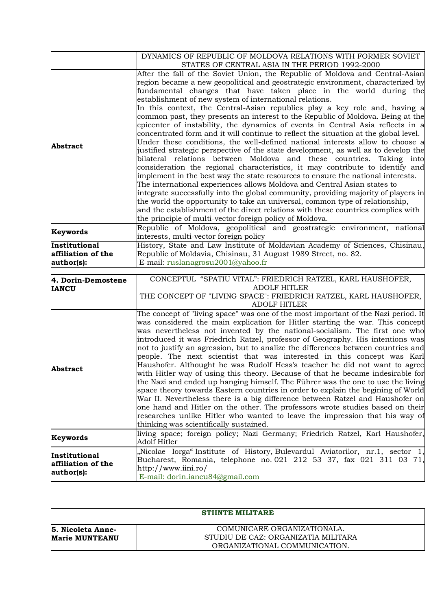|                                    | DYNAMICS OF REPUBLIC OF MOLDOVA RELATIONS WITH FORMER SOVIET<br>STATES OF CENTRAL ASIA IN THE PERIOD 1992-2000 |  |  |  |  |
|------------------------------------|----------------------------------------------------------------------------------------------------------------|--|--|--|--|
|                                    | After the fall of the Soviet Union, the Republic of Moldova and Central-Asian                                  |  |  |  |  |
| <b>Abstract</b>                    | region became a new geopolitical and geostrategic environment, characterized by                                |  |  |  |  |
|                                    | fundamental changes that have taken place in the world during the                                              |  |  |  |  |
|                                    | establishment of new system of international relations.                                                        |  |  |  |  |
|                                    | In this context, the Central-Asian republics play a key role and, having a                                     |  |  |  |  |
|                                    | common past, they presents an interest to the Republic of Moldova. Being at the                                |  |  |  |  |
|                                    | epicenter of instability, the dynamics of events in Central Asia reflects in a                                 |  |  |  |  |
|                                    | concentrated form and it will continue to reflect the situation at the global level.                           |  |  |  |  |
|                                    | Under these conditions, the well-defined national interests allow to choose a                                  |  |  |  |  |
|                                    | justified strategic perspective of the state development, as well as to develop the                            |  |  |  |  |
|                                    | bilateral relations between Moldova and these countries. Taking into                                           |  |  |  |  |
|                                    | consideration the regional characteristics, it may contribute to identify and                                  |  |  |  |  |
|                                    | implement in the best way the state resources to ensure the national interests.                                |  |  |  |  |
|                                    | The international experiences allows Moldova and Central Asian states to                                       |  |  |  |  |
|                                    | integrate successfully into the global community, providing majority of players in                             |  |  |  |  |
|                                    | the world the opportunity to take an universal, common type of relationship,                                   |  |  |  |  |
|                                    | and the establishment of the direct relations with these countries complies with                               |  |  |  |  |
|                                    | the principle of multi-vector foreign policy of Moldova.                                                       |  |  |  |  |
|                                    | Republic of Moldova, geopolitical and geostrategic environment, national                                       |  |  |  |  |
| Keywords                           | interests, multi-vector foreign policy                                                                         |  |  |  |  |
| Institutional                      | History, State and Law Institute of Moldavian Academy of Sciences, Chisinau,                                   |  |  |  |  |
| affiliation of the                 | Republic of Moldavia, Chisinau, 31 August 1989 Street, no. 82.                                                 |  |  |  |  |
| author(s):                         | E-mail: ruslanagrosu2001@yahoo.fr                                                                              |  |  |  |  |
|                                    |                                                                                                                |  |  |  |  |
|                                    |                                                                                                                |  |  |  |  |
|                                    | CONCEPTUL "SPATIU VITAL": FRIEDRICH RATZEL, KARL HAUSHOFER,                                                    |  |  |  |  |
|                                    | <b>ADOLF HITLER</b>                                                                                            |  |  |  |  |
| 4. Dorin-Demostene<br><b>IANCU</b> | THE CONCEPT OF "LIVING SPACE": FRIEDRICH RATZEL, KARL HAUSHOFER,<br><b>ADOLF HITLER</b>                        |  |  |  |  |
|                                    | The concept of "living space" was one of the most important of the Nazi period. It                             |  |  |  |  |
|                                    | was considered the main explication for Hitler starting the war. This concept                                  |  |  |  |  |
|                                    | was nevertheless not invented by the national-socialism. The first one who                                     |  |  |  |  |
|                                    | introduced it was Friedrich Ratzel, professor of Geography. His intentions was                                 |  |  |  |  |
|                                    | not to justify an agression, but to analize the differences between countries and                              |  |  |  |  |
|                                    | people. The next scientist that was interested in this concept was Karl                                        |  |  |  |  |
|                                    | Haushofer. Althought he was Rudolf Hess's teacher he did not want to agree                                     |  |  |  |  |
|                                    | with Hitler way of using this theory. Because of that he became indesirable for                                |  |  |  |  |
|                                    | the Nazi and ended up hanging himself. The Führer was the one to use the living                                |  |  |  |  |
|                                    | space theory towards Eastern countries in order to explain the begining of World                               |  |  |  |  |
|                                    | War II. Nevertheless there is a big difference between Ratzel and Haushofer on                                 |  |  |  |  |
|                                    | one hand and Hitler on the other. The professors wrote studies based on their                                  |  |  |  |  |
| Abstract                           | researches unlike Hitler who wanted to leave the impression that his way of                                    |  |  |  |  |
|                                    | thinking was scientifically sustained.                                                                         |  |  |  |  |
| Keywords                           | living space; foreign policy; Nazi Germany; Friedrich Ratzel, Karl Haushofer,                                  |  |  |  |  |
|                                    | Adolf Hitler                                                                                                   |  |  |  |  |
| Institutional                      | "Nicolae Iorga" Institute of History, Bulevardul Aviatorilor, nr.1, sector<br>1,                               |  |  |  |  |
| affiliation of the                 | Bucharest, Romania, telephone no. 021 212 53 37, fax 021 311 03 71,                                            |  |  |  |  |
| author(s):                         | http://www.iini.ro/<br>E-mail: dorin.iancu84@gmail.com                                                         |  |  |  |  |

|                                            | <b>STIINTE MILITARE</b>                                                                             |
|--------------------------------------------|-----------------------------------------------------------------------------------------------------|
| 5. Nicoleta Anne-<br><b>Marie MUNTEANU</b> | COMUNICARE ORGANIZATIONALA.<br>STUDIU DE CAZ: ORGANIZATIA MILITARA<br>ORGANIZATIONAL COMMUNICATION. |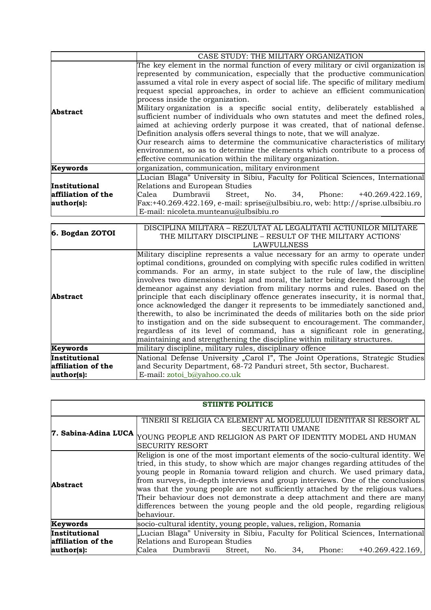|                                                   | CASE STUDY: THE MILITARY ORGANIZATION                                                                                                                                                                                                                                                                                                                                                                                                                                                                                                                                                                                                                                                                                                                                                                                                                                                                                                 |  |  |  |  |  |
|---------------------------------------------------|---------------------------------------------------------------------------------------------------------------------------------------------------------------------------------------------------------------------------------------------------------------------------------------------------------------------------------------------------------------------------------------------------------------------------------------------------------------------------------------------------------------------------------------------------------------------------------------------------------------------------------------------------------------------------------------------------------------------------------------------------------------------------------------------------------------------------------------------------------------------------------------------------------------------------------------|--|--|--|--|--|
| <b>Abstract</b>                                   | The key element in the normal function of every military or civil organization is<br>represented by communication, especially that the productive communication<br>assumed a vital role in every aspect of social life. The specific of military medium<br>request special approaches, in order to achieve an efficient communication<br>process inside the organization.<br>Military organization is a specific social entity, deliberately established a<br>sufficient number of individuals who own statutes and meet the defined roles,<br>aimed at achieving orderly purpose it was created, that of national defense.<br>Definition analysis offers several things to note, that we will analyze.<br>Our research aims to determine the communicative characteristics of military<br>environment, so as to determine the elements which contribute to a process of<br>effective communication within the military organization. |  |  |  |  |  |
| Keywords                                          | organization, communication, military environment                                                                                                                                                                                                                                                                                                                                                                                                                                                                                                                                                                                                                                                                                                                                                                                                                                                                                     |  |  |  |  |  |
| Institutional<br>affiliation of the<br>author(s): | "Lucian Blaga" University in Sibiu, Faculty for Political Sciences, International<br>Relations and European Studies<br>Dumbravii<br>Street, No. 34, Phone: +40.269.422.169,<br>Calea<br>$Fx: +40.269.422.169, e-mail: sprise@ulbsibiu-ro, web: http://sprise.ulbsibiu-ro$<br>E-mail: nicoleta.munteanu@ulbsibiu.ro                                                                                                                                                                                                                                                                                                                                                                                                                                                                                                                                                                                                                    |  |  |  |  |  |
|                                                   | DISCIPLINA MILITARA – REZULTAT AL LEGALITATII ACTIUNILOR MILITARE                                                                                                                                                                                                                                                                                                                                                                                                                                                                                                                                                                                                                                                                                                                                                                                                                                                                     |  |  |  |  |  |

| 6. Bogdan ZOTOI    | DISCIPLINA MILITARA – REZULTAT AL LEGALITATII ACTIUNILOR MILITARE                 |  |  |  |  |
|--------------------|-----------------------------------------------------------------------------------|--|--|--|--|
|                    | THE MILITARY DISCIPLINE – RESULT OF THE MILITARY ACTIONS'                         |  |  |  |  |
|                    | LAWFULLNESS                                                                       |  |  |  |  |
|                    | Military discipline represents a value necessary for an army to operate under     |  |  |  |  |
|                    | optimal conditions, grounded on complying with specific rules codified in written |  |  |  |  |
|                    | commands. For an army, in state subject to the rule of law, the discipline        |  |  |  |  |
|                    | involves two dimensions: legal and moral, the latter being deemed thorough the    |  |  |  |  |
|                    | demeanor against any deviation from military norms and rules. Based on the        |  |  |  |  |
| Abstract           | principle that each disciplinary offence generates insecurity, it is normal that, |  |  |  |  |
|                    | once acknowledged the danger it represents to be immediately sanctioned and,      |  |  |  |  |
|                    | therewith, to also be incriminated the deeds of militaries both on the side prior |  |  |  |  |
|                    | to instigation and on the side subsequent to encouragement. The commander,        |  |  |  |  |
|                    | regardless of its level of command, has a significant role in generating,         |  |  |  |  |
|                    | maintaining and strengthening the discipline within military structures.          |  |  |  |  |
| Keywords           | military discipline, military rules, disciplinary offence                         |  |  |  |  |
| Institutional      | National Defense University "Carol I", The Joint Operations, Strategic Studies    |  |  |  |  |
| affiliation of the | and Security Department, 68-72 Panduri street, 5th sector, Bucharest.             |  |  |  |  |
| author(s):         | E-mail: zotoi_b@yahoo.co.uk                                                       |  |  |  |  |

| <b>STIINTE POLITICE</b>             |                                                                                                                                                                                                                                                                                                                                                                                                                                                                                                                                                                                                     |  |  |  |  |
|-------------------------------------|-----------------------------------------------------------------------------------------------------------------------------------------------------------------------------------------------------------------------------------------------------------------------------------------------------------------------------------------------------------------------------------------------------------------------------------------------------------------------------------------------------------------------------------------------------------------------------------------------------|--|--|--|--|
| 7. Sabina-Adina LUCA                | TINERII SI RELIGIA CA ELEMENT AL MODELULUI IDENTITAR SI RESORT AL<br>SECURITATII UMANE<br>YOUNG PEOPLE AND RELIGION AS PART OF IDENTITY MODEL AND HUMAN<br><b>SECURITY RESORT</b>                                                                                                                                                                                                                                                                                                                                                                                                                   |  |  |  |  |
| Abstract                            | Religion is one of the most important elements of the socio-cultural identity. We<br>tried, in this study, to show which are major changes regarding attitudes of the<br>young people in Romania toward religion and church. We used primary data,<br>from surveys, in-depth interviews and group interviews. One of the conclusions<br>was that the young people are not sufficiently attached by the religious values.<br>Their behaviour does not demonstrate a deep attachment and there are many<br>differences between the young people and the old people, regarding religious<br>behaviour. |  |  |  |  |
| Keywords                            | socio-cultural identity, young people, values, religion, Romania                                                                                                                                                                                                                                                                                                                                                                                                                                                                                                                                    |  |  |  |  |
| Institutional<br>affiliation of the | "Lucian Blaga" University in Sibiu, Faculty for Political Sciences, International<br>Relations and European Studies                                                                                                                                                                                                                                                                                                                                                                                                                                                                                 |  |  |  |  |
| author(s):                          | Dumbravii<br>34,<br>$+40.269.422.169,$<br>Calea<br>Street,<br>No.<br>Phone:                                                                                                                                                                                                                                                                                                                                                                                                                                                                                                                         |  |  |  |  |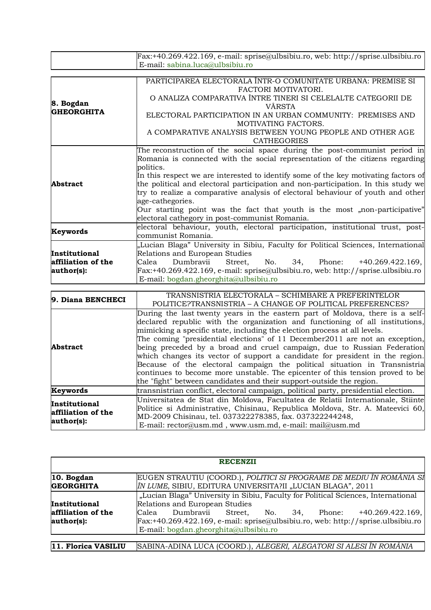|                                                          | <b>RECENZII</b>                                                                                                                                                                                                                                                                                                         |
|----------------------------------------------------------|-------------------------------------------------------------------------------------------------------------------------------------------------------------------------------------------------------------------------------------------------------------------------------------------------------------------------|
| $ 10.$ Bogdan<br><b>GEORGHITA</b>                        | EUGEN STRAUTIU (COORD.), POLITICI SI PROGRAME DE MEDIU ÎN ROMÂNIA SI<br>ÎN LUME, SIBIU, EDITURA UNIVERSITA?II "LUCIAN BLAGA", 2011                                                                                                                                                                                      |
| <b>Institutional</b><br>affiliation of the<br>author(s): | "Lucian Blaga" University in Sibiu, Faculty for Political Sciences, International<br>Relations and European Studies<br>Dumbravii Street, No. 34, Phone: +40.269.422.169,<br>Calea<br>$\text{Fax:}+40.269.422.169$ , e-mail: sprise@ulbsibiu.ro, web: http://sprise.ulbsibiu.ro<br>E-mail: bogdan.gheorghita@ulbsibiu.ro |
| 11. Florica VASILIU                                      | SABINA-ADINA LUCA (COORD.), ALEGERI, ALEGATORI SI ALESI ÎN ROMÂNIA                                                                                                                                                                                                                                                      |